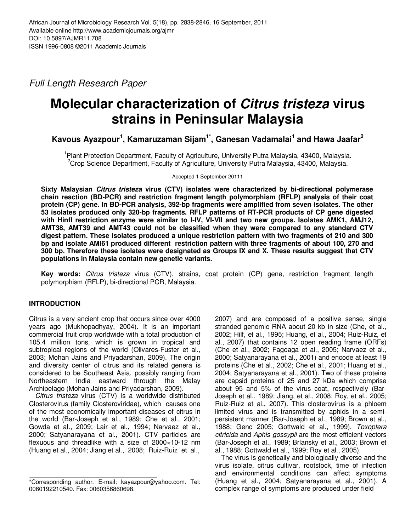Full Length Research Paper

# **Molecular characterization of Citrus tristeza virus strains in Peninsular Malaysia**

**Kavous Ayazpour<sup>1</sup> , Kamaruzaman Sijam1\*, Ganesan Vadamalai<sup>1</sup> and Hawa Jaafar<sup>2</sup>**

<sup>1</sup> Plant Protection Department, Faculty of Agriculture, University Putra Malaysia, 43400, Malaysia.  $2C$ rop Science Department, Faculty of Agriculture, University Putra Malaysia, 43400, Malaysia.

Accepted 1 September 20111

**Sixty Malaysian Citrus tristeza virus (CTV) isolates were characterized by bi-directional polymerase chain reaction (BD-PCR) and restriction fragment length polymorphism (RFLP) analysis of their coat protein (CP) gene. In BD-PCR analysis, 392-bp fragments were amplified from seven isolates. The other 53 isolates produced only 320-bp fragments. RFLP patterns of RT-PCR products of CP gene digested with HinfI restriction enzyme were similar to I-IV, VI-VII and two new groups. Isolates AMK1, AMJ12, AMT38, AMT39 and AMT43 could not be classified when they were compared to any standard CTV digest pattern. These isolates produced a unique restriction pattern with two fragments of 210 and 300 bp and isolate AMI61 produced different restriction pattern with three fragments of about 100, 270 and 300 bp. Therefore these isolates were designated as Groups IX and X. These results suggest that CTV populations in Malaysia contain new genetic variants.** 

**Key words:** Citrus tristeza virus (CTV), strains, coat protein (CP) gene, restriction fragment length polymorphism (RFLP), bi-directional PCR, Malaysia.

# **INTRODUCTION**

Citrus is a very ancient crop that occurs since over 4000 years ago (Mukhopadhyay, 2004). It is an important commercial fruit crop worldwide with a total production of 105.4 million tons, which is grown in tropical and subtropical regions of the world (Olivares-Fuster et al., 2003; Mohan Jains and Priyadarshan, 2009). The origin and diversity center of citrus and its related genera is considered to be Southeast Asia, possibly ranging from Northeastern India eastward through the Malay Archipelago (Mohan Jains and Priyadarshan, 2009).

Citrus tristeza virus (CTV) is a worldwide distributed Closterovirus (family Closteroviridae), which causes one of the most economically important diseases of citrus in the world (Bar-Joseph et al., 1989; Che et al., 2001; Gowda et al., 2009; Lair et al., 1994; Narvaez et al., 2000; Satyanarayana et al., 2001). CTV particles are flexuous and threadlike with a size of 2000×10-12 nm (Huang et al., 2004; Jiang et al., 2008; Ruiz-Ruiz et al.,

2007) and are composed of a positive sense, single stranded genomic RNA about 20 kb in size (Che, et al., 2002; Hilf, et al., 1995; Huang, et al., 2004; Ruiz-Ruiz, et al., 2007) that contains 12 open reading frame (ORFs) (Che et al., 2002; Fagoaga et al., 2005; Narvaez et al., 2000; Satyanarayana et al., 2001) and encode at least 19 proteins (Che et al., 2002; Che et al., 2001; Huang et al., 2004; Satyanarayana et al., 2001). Two of these proteins are capsid proteins of 25 and 27 kDa which comprise about 95 and 5% of the virus coat, respectively (Bar-Joseph et al., 1989; Jiang, et al., 2008; Roy, et al., 2005; Ruiz-Ruiz et al., 2007). This closterovirus is a phloem limited virus and is transmitted by aphids in a semipersistent manner (Bar-Joseph et al., 1989; Brown et al., 1988; Genc 2005; Gottwald et al., 1999). Toxoptera citricida and Aphis gossypii are the most efficient vectors (Bar-Joseph et al., 1989; Brlansky et al., 2003; Brown et al., 1988; Gottwald et al., 1999; Roy et al., 2005).

The virus is genetically and biologically diverse and the virus isolate, citrus cultivar, rootstock, time of infection and environmental conditions can affect symptoms (Huang et al., 2004; Satyanarayana et al., 2001). A complex range of symptoms are produced under field

<sup>\*</sup>Corresponding author. E-mail: kayazpour@yahoo.com. Tel: 0060192210540. Fax: 0060356860698.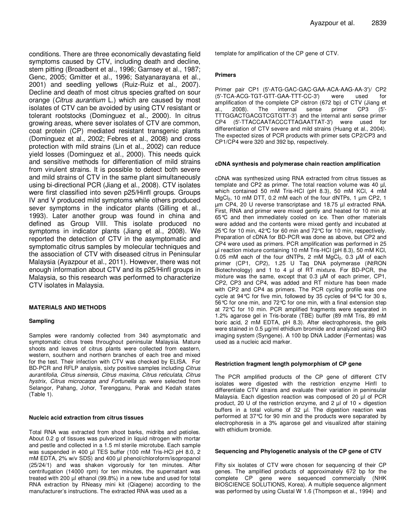conditions. There are three economically devastating field symptoms caused by CTV, including death and decline, stem pitting (Broadbent et al., 1996; Garnsey et al., 1987; Genc, 2005; Gmitter et al., 1996; Satyanarayana et al., 2001) and seedling yellows (Ruiz-Ruiz et al., 2007). Decline and death of most citrus species grafted on sour orange (Citrus aurantium L.) which are caused by most isolates of CTV can be avoided by using CTV resistant or tolerant rootstocks (Dominguez et al., 2000). In citrus growing areas, where sever isolates of CTV are common, coat protein (CP) mediated resistant transgenic plants (Dominguez et al., 2002; Febres et al., 2008) and cross protection with mild strains (Lin et al., 2002) can reduce yield losses (Dominguez et al., 2000). This needs quick and sensitive methods for differentiation of mild strains from virulent strains. It is possible to detect both severe and mild strains of CTV in the same plant simultaneously using bi-directional PCR (Jiang et al., 2008). CTV isolates were first classified into seven p25/HinfI groups. Groups IV and V produced mild symptoms while others produced sever symptoms in the indicator plants (Gilling et al., 1993). Later another group was found in china and defined as Group VIII. This isolate produced no symptoms in indicator plants (Jiang et al., 2008). We reported the detection of CTV in the asymptomatic and symptomatic citrus samples by molecular techniques and the association of CTV with diseased citrus in Peninsular Malaysia (Ayazpour et al., 2011). However, there was not enough information about CTV and its p25/HinfI groups in Malaysia, so this research was performed to characterize CTV isolates in Malaysia.

### **MATERIALS AND METHODS**

#### **Sampling**

Samples were randomly collected from 340 asymptomatic and symptomatic citrus trees throughout peninsular Malaysia. Mature shoots and leaves of citrus plants were collected from eastern, western, southern and northern branches of each tree and mixed for the test. Their infection with CTV was checked by ELISA. For BD-PCR and RFLP analysis, sixty positive samples including Citrus aurantifolia, Citrus sinensis, Citrus maxima, Citrus reticulata, Citrus hystrix, Citrus microcarpa and Fortunella sp. were selected from Selangor, Pahang, Johor, Terengganu, Perak and Kedah states (Table 1).

#### **Nucleic acid extraction from citrus tissues**

Total RNA was extracted from shoot barks, midribs and petioles. About 0.2 g of tissues was pulverized in liquid nitrogen with mortar and pestle and collected in a 1.5 ml sterile microtube. Each sample was suspended in 400 µl TES buffer (100 mM Tris-HCl pH 8.0, 2 mM EDTA, 2% w/v SDS) and 400 µl phenol/chloroform/isopropanol (25/24/1) and was shaken vigorously for ten minutes. After centrifugation (14000 rpm) for ten minutes, the supernatant was treated with 200 µl ethanol (99.8%) in a new tube and used for total RNA extraction by RNeasy mini kit (Qiagene) according to the manufacturer's instructions. The extracted RNA was used as a

template for amplification of the CP gene of CTV.

#### **Primers**

Primer pair CP1 (5′-ATG-GAC-GAC-GAA-ACA-AAG-AA-3′)/ CP2 (5′-TCA-ACG-TGT-GTT-GAA-TTT-CC-3′) were used for amplification of the complete CP cistron (672 bp) of CTV (Jiang et al., 2008). The internal sense primer CP3 (5′- TTTGGACTGACGTCGTGTT-3′) and the internal anti sense primer CP4 (5′-TTACCAATACCCTTAGAATTAT-3′) were used for differentiation of CTV severe and mild strains (Huang et al., 2004). The expected sizes of PCR products with primer sets CP2/CP3 and CP1/CP4 were 320 and 392 bp, respectively.

#### **cDNA synthesis and polymerase chain reaction amplification**

cDNA was synthesized using RNA extracted from citrus tissues as template and CP2 as primer. The total reaction volume was 40 µl, which contained 50 mM Tris-HCl (pH 8.3), 50 mM KCl, 4 mM MgCl<sub>2</sub>, 10 mM DTT, 0.2 mM each of the four dNTPs, 1 um CP2, 1 µm CP4, 20 U reverse transcriptase and 18.75 µl extracted RNA. First, RNA and primer were mixed gently and heated for 10 min at 65°C and then immediately cooled on ice. Then other materials were added and the contents were mixed gently and incubated at 25°C for 10 min, 42°C for 60 min and 72°C for 10 min, respectively. Preparation of cDNA for BD-PCR was done as above, but CP2 and CP4 were used as primers. PCR amplification was performed in 25 µl reaction mixture containing 10 mM Tris-HCl (pH 8.3), 50 mM KCl, 0.05 mM each of the four dNTPs, 2 mM  $MgCl<sub>2</sub>$ , 0.3  $\mu$ M of each primer (CP1, CP2), 1.25 U Taq DNA polymerase (iNtRON Biotechnology) and 1 to 4 µl of RT mixture. For BD-PCR, the mixture was the same, except that 0.3 µM of each primer, CP1, CP2, CP3 and CP4, was added and RT mixture has been made with CP2 and CP4 as primers. The PCR cycling profile was one cycle at 94°C for five min, followed by 35 cycles of 94°C for 30 s, 56°C for one min, and 72°C for one min, with a final extension step at 72°C for 10 min. PCR amplified fragments were separated in 1.2% agarose gel in Tris-borate (TBE) buffer (89 mM Tris, 89 mM boric acid, 2 mM EDTA, pH 8.3). After electrophoresis, the gels were stained in 0.5 µg/ml ethidium bromide and analyzed using BIO imaging system (Syngene). A 100 bp DNA Ladder (Fermentas) was used as a nucleic acid marker.

#### **Restriction fragment length polymorphism of CP gene**

The PCR amplified products of the CP gene of different CTV isolates were digested with the restriction enzyme HinfI to differentiate CTV strains and evaluate their variation in peninsular Malaysia. Each digestion reaction was composed of 20 µl of PCR product, 20 U of the restriction enzyme, and 2  $\mu$ l of 10  $\times$  digestion buffers in a total volume of 32 µl. The digestion reaction was performed at 37°C for 90 min and the products were separated by electrophoresis in a 3% agarose gel and visualized after staining with ethidium bromide.

#### **Sequencing and Phylogenetic analysis of the CP gene of CTV**

Fifty six isolates of CTV were chosen for sequencing of their CP genes. The amplified products of approximately 672 bp for the complete CP gene were sequenced commercially (NHK BIOSCIENCE SOLUTIONS, Korea). A multiple sequence alignment was performed by using Clustal W 1.6 (Thompson et al., 1994) and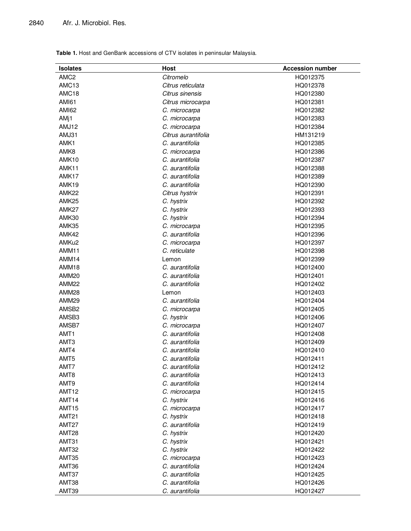| <b>Isolates</b>   | <b>Host</b>         | <b>Accession number</b> |
|-------------------|---------------------|-------------------------|
| AMC <sub>2</sub>  | Citromelo           | HQ012375                |
| AMC <sub>13</sub> | Citrus reticulata   | HQ012378                |
| AMC <sub>18</sub> | Citrus sinensis     | HQ012380                |
| <b>AMI61</b>      | Citrus microcarpa   | HQ012381                |
| <b>AMI62</b>      | C. microcarpa       | HQ012382                |
| AMj1              | C. microcarpa       | HQ012383                |
| AMJ12             | C. microcarpa       | HQ012384                |
| AMJ31             | Citrus aurantifolia | HM131219                |
| AMK1              | C. aurantifolia     | HQ012385                |
| AMK8              | C. microcarpa       | HQ012386                |
| AMK <sub>10</sub> | C. aurantifolia     | HQ012387                |
| AMK11             | C. aurantifolia     | HQ012388                |
| AMK17             | C. aurantifolia     | HQ012389                |
| AMK <sub>19</sub> | C. aurantifolia     | HQ012390                |
| AMK22             | Citrus hystrix      | HQ012391                |
| AMK <sub>25</sub> | C. hystrix          | HQ012392                |
| AMK27             | C. hystrix          | HQ012393                |
| AMK30             | C. hystrix          | HQ012394                |
| AMK35             | C. microcarpa       | HQ012395                |
| AMK42             | C. aurantifolia     | HQ012396                |
| AMKu <sub>2</sub> | C. microcarpa       | HQ012397                |
| AMM11             | C. reticulate       | HQ012398                |
| AMM14             | Lemon               | HQ012399                |
| AMM18             | C. aurantifolia     | HQ012400                |
| AMM20             | C. aurantifolia     | HQ012401                |
| AMM <sub>22</sub> | C. aurantifolia     | HQ012402                |
| AMM <sub>28</sub> | Lemon               | HQ012403                |
| AMM <sub>29</sub> | C. aurantifolia     | HQ012404                |
| AMSB <sub>2</sub> | C. microcarpa       | HQ012405                |
| AMSB3             | C. hystrix          | HQ012406                |
| AMSB7             | C. microcarpa       | HQ012407                |
| AMT <sub>1</sub>  | C. aurantifolia     | HQ012408                |
| AMT3              | C. aurantifolia     | HQ012409                |
| AMT4              | C. aurantifolia     | HQ012410                |
| AMT <sub>5</sub>  | C. aurantifolia     | HQ012411                |
| AMT7              | C. aurantifolia     | HQ012412                |
| AMT8              | C. aurantifolia     | HQ012413                |
| AMT <sub>9</sub>  | C. aurantifolia     | HQ012414                |
| AMT <sub>12</sub> | C. microcarpa       | HQ012415                |
| AMT14             | C. hystrix          | HQ012416                |
| <b>AMT15</b>      | C. microcarpa       | HQ012417                |
| AMT <sub>21</sub> | C. hystrix          | HQ012418                |
| AMT27             | C. aurantifolia     | HQ012419                |
| AMT28             | C. hystrix          | HQ012420                |
| AMT31             | C. hystrix          | HQ012421                |
| AMT32             | C. hystrix          | HQ012422                |
| AMT35             | C. microcarpa       | HQ012423                |
| AMT36             | C. aurantifolia     | HQ012424                |
| AMT37             | C. aurantifolia     | HQ012425                |
| AMT38             | C. aurantifolia     | HQ012426                |
| AMT39             | C. aurantifolia     | HQ012427                |

**Table 1.** Host and GenBank accessions of CTV isolates in peninsular Malaysia.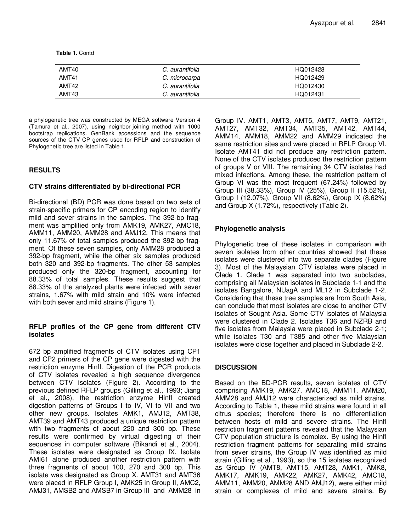**Table 1.** Contd

| AMT40 | C. aurantifolia | HQ012428 |
|-------|-----------------|----------|
| AMT41 | C. microcarpa   | HQ012429 |
| AMT42 | C. aurantifolia | HQ012430 |
| AMT43 | C. aurantifolia | HQ012431 |

a phylogenetic tree was constructed by MEGA software Version 4 (Tamura et al., 2007), using neighbor-joining method with 1000 bootstrap replications. GenBank accessions and the sequence sources of the CTV CP genes used for RFLP and construction of Phylogenetic tree are listed in Table 1.

# **RESULTS**

## **CTV strains differentiated by bi-directional PCR**

Bi-directional (BD) PCR was done based on two sets of strain-specific primers for CP encoding region to identify mild and sever strains in the samples. The 392-bp fragment was amplified only from AMK19, AMK27, AMC18, AMM11, AMM20, AMM28 and AMJ12. This means that only 11.67% of total samples produced the 392-bp fragment. Of these seven samples, only AMM28 produced a 392-bp fragment, while the other six samples produced both 320 and 392-bp fragments. The other 53 samples produced only the 320-bp fragment, accounting for 88.33% of total samples. These results suggest that 88.33% of the analyzed plants were infected with sever strains, 1.67% with mild strain and 10% were infected with both sever and mild strains (Figure 1).

## **RFLP profiles of the CP gene from different CTV isolates**

672 bp amplified fragments of CTV isolates using CP1 and CP2 primers of the CP gene were digested with the restriction enzyme HinfI. Digestion of the PCR products of CTV isolates revealed a high sequence divergence between CTV isolates (Figure 2). According to the previous defined RFLP groups (Gilling et al., 1993; Jiang et al., 2008), the restriction enzyme HinfI created digestion patterns of Groups I to IV, VI to VII and two other new groups. Isolates AMK1, AMJ12, AMT38, AMT39 and AMT43 produced a unique restriction pattern with two fragments of about 220 and 300 bp. These results were confirmed by virtual digesting of their sequences in computer software (Bikandi et al., 2004). These isolates were designated as Group IX. Isolate AMI61 alone produced another restriction pattern with three fragments of about 100, 270 and 300 bp. This isolate was designated as Group X. AMT31 and AMT36 were placed in RFLP Group I, AMK25 in Group II, AMC2, AMJ31, AMSB2 and AMSB7 in Group III and AMM28 in Group IV. AMT1, AMT3, AMT5, AMT7, AMT9, AMT21, AMT27, AMT32, AMT34, AMT35, AMT42, AMT44, AMM14, AMM18, AMM22 and AMM29 indicated the same restriction sites and were placed in RFLP Group VI. Isolate AMT41 did not produce any restriction pattern. None of the CTV isolates produced the restriction pattern of groups V or VIII. The remaining 34 CTV isolates had mixed infections. Among these, the restriction pattern of Group VI was the most frequent (67.24%) followed by Group III (38.33%), Group IV (25%), Group II (15.52%), Group I (12.07%), Group VII (8.62%), Group IX (8.62%) and Group X (1.72%), respectively (Table 2).

# **Phylogenetic analysis**

Phylogenetic tree of these isolates in comparison with seven isolates from other countries showed that these isolates were clustered into two separate clades (Figure 3). Most of the Malaysian CTV isolates were placed in Clade 1. Clade 1 was separated into two subclades, comprising all Malaysian isolates in Subclade 1-1 and the isolates Bangalore, NUagA and ML12 in Subclade 1-2. Considering that these tree samples are from South Asia, can conclude that most isolates are close to another CTV isolates of Sought Asia. Some CTV isolates of Malaysia were clustered in Clade 2. Isolates T36 and NZRB and five isolates from Malaysia were placed in Subclade 2-1; while isolates T30 and T385 and other five Malaysian isolates were close together and placed in Subclade 2-2.

## **DISCUSSION**

Based on the BD-PCR results, seven isolates of CTV comprising AMK19, AMK27, AMC18, AMM11, AMM20, AMM28 and AMJ12 were characterized as mild strains. According to Table 1, these mild strains were found in all citrus species; therefore there is no differentiation between hosts of mild and severe strains. The HinfI restriction fragment patterns revealed that the Malaysian CTV population structure is complex. By using the HinfI restriction fragment patterns for separating mild strains from sever strains, the Group IV was identified as mild strain (Gilling et al., 1993), so the 15 isolates recognized as Group IV (AMT8, AMT15, AMT28, AMK1, AMK8, AMK17, AMK19, AMK22, AMK27, AMK42, AMC18, AMM11, AMM20, AMM28 AND AMJ12), were either mild strain or complexes of mild and severe strains. By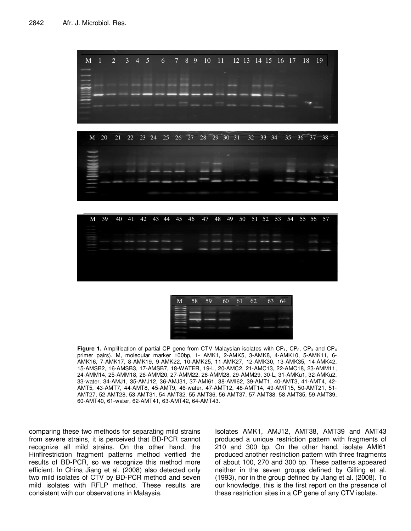

| M | 58 | 59 | 60 | 61 | 62 | 63 | 64 |
|---|----|----|----|----|----|----|----|
|   |    |    |    |    |    |    |    |
|   |    |    |    |    |    |    |    |
|   |    |    |    |    |    |    |    |
|   |    |    |    |    |    |    |    |

**Figure 1.** Amplification of partial CP gene from CTV Malaysian isolates with CP<sub>1</sub>, CP<sub>2</sub>, CP<sub>3</sub> and CP<sub>4</sub> primer pairs). M, molecular marker 100bp, 1- AMK1, 2-AMK5, 3-AMK8, 4-AMK10, 5-AMK11, 6- AMK16, 7-AMK17, 8-AMK19, 9-AMK22, 10-AMK25, 11-AMK27, 12-AMK30, 13-AMK35, 14-AMK42, 15-AMSB2, 16-AMSB3, 17-AMSB7, 18-WATER, 19-L, 20-AMC2, 21-AMC13, 22-AMC18, 23-AMM11, 24-AMM14, 25-AMM18, 26-AMM20, 27-AMM22, 28-AMM28, 29-AMM29, 30-L, 31-AMKu1, 32-AMKu2, 33-water, 34-AMJ1, 35-AMJ12, 36-AMJ31, 37-AMI61, 38-AMI62, 39-AMT1, 40-AMT3, 41-AMT4, 42- AMT5, 43-AMT7, 44-AMT8, 45-AMT9, 46-water, 47-AMT12, 48-AMT14, 49-AMT15, 50-AMT21, 51- AMT27, 52-AMT28, 53-AMT31, 54-AMT32, 55-AMT36, 56-AMT37, 57-AMT38, 58-AMT35, 59-AMT39, 60-AMT40, 61-water, 62-AMT41, 63-AMT42, 64-AMT43.

comparing these two methods for separating mild strains from severe strains, it is perceived that BD-PCR cannot recognize all mild strains. On the other hand, the HinfIrestriction fragment patterns method verified the results of BD-PCR, so we recognize this method more efficient. In China Jiang et al. (2008) also detected only two mild isolates of CTV by BD-PCR method and seven mild isolates with RFLP method. These results are consistent with our observations in Malaysia.

Isolates AMK1, AMJ12, AMT38, AMT39 and AMT43 produced a unique restriction pattern with fragments of 210 and 300 bp. On the other hand, isolate AMI61 produced another restriction pattern with three fragments of about 100, 270 and 300 bp. These patterns appeared neither in the seven groups defined by Gilling et al. (1993), nor in the group defined by Jiang et al. (2008). To our knowledge, this is the first report on the presence of these restriction sites in a CP gene of any CTV isolate.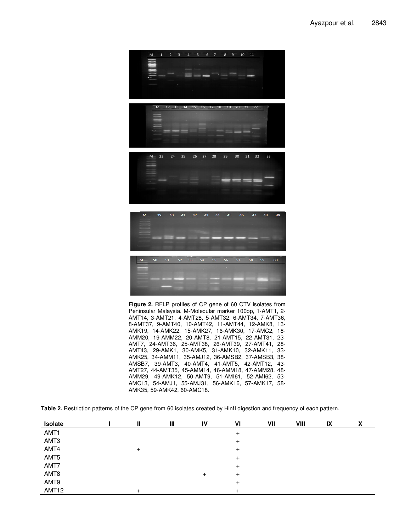

**Figure 2.** RFLP profiles of CP gene of 60 CTV isolates from Peninsular Malaysia. M-Molecular marker 100bp, 1-AMT1, 2- AMT14, 3-AMT21, 4-AMT28, 5-AMT32, 6-AMT34, 7-AMT36, 8-AMT37, 9-AMT40, 10-AMT42, 11-AMT44, 12-AMK8, 13- AMK19, 14-AMK22, 15-AMK27, 16-AMK30, 17-AMC2, 18- AMM20, 19-AMM22, 20-AMT8, 21-AMT15, 22-AMT31, 23- AMT7, 24-AMT36, 25-AMT38, 26-AMT39, 27-AMT41, 28- AMT43, 29-AMK1, 30-AMK5, 31-AMK10, 32-AMK11, 33- AMK25, 34-AMM11, 35-AMJ12, 36-AMSB2, 37-AMSB3, 38- AMSB7, 39-AMT3, 40-AMT4, 41-AMT5, 42-AMT12, 43- AMT27, 44-AMT35, 45-AMM14, 46-AMM18, 47-AMM28, 48- AMM29, 49-AMK12, 50-AMT9, 51-AMI61, 52-AMI62, 53- AMC13, 54-AMJ1, 55-AMJ31, 56-AMK16, 57-AMK17, 58- AMK35, 59-AMK42, 60-AMC18.

**Table 2.** Restriction patterns of the CP gene from 60 isolates created by HinfI digestion and frequency of each pattern.

| Isolate |  | Ш | IV | VI | VII | VIII | IX |  |
|---------|--|---|----|----|-----|------|----|--|
| AMT1    |  |   |    |    |     |      |    |  |
| AMT3    |  |   |    |    |     |      |    |  |
| AMT4    |  |   |    |    |     |      |    |  |
| AMT5    |  |   |    |    |     |      |    |  |
| AMT7    |  |   |    |    |     |      |    |  |
| AMT8    |  |   | +  | ÷  |     |      |    |  |
| AMT9    |  |   |    |    |     |      |    |  |
| AMT12   |  |   |    |    |     |      |    |  |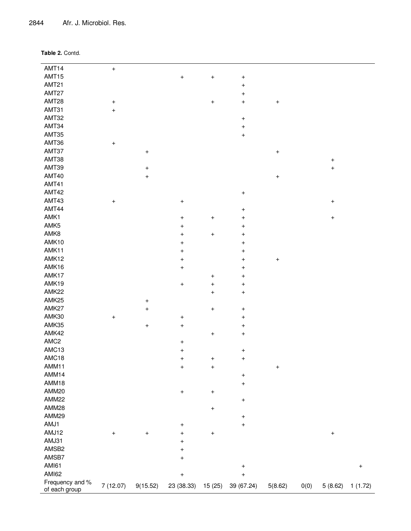2844 Afr. J. Microbiol. Res.

| Table 2. Contd. |  |
|-----------------|--|
|-----------------|--|

| AMT14            | $\ddot{}$                        |                |                                  |                                  |                                  |           |      |                  |                                  |
|------------------|----------------------------------|----------------|----------------------------------|----------------------------------|----------------------------------|-----------|------|------------------|----------------------------------|
| AMT15            |                                  |                | $\ddot{}$                        | $\ddot{}$                        | $\boldsymbol{+}$                 |           |      |                  |                                  |
| AMT21            |                                  |                |                                  |                                  | $\boldsymbol{+}$                 |           |      |                  |                                  |
| AMT27            |                                  |                |                                  |                                  | $\ddot{}$                        |           |      |                  |                                  |
| AMT28            | $\ddot{}$                        |                |                                  | $\ddot{}$                        | $\ddot{}$                        | $\ddot{}$ |      |                  |                                  |
| AMT31            | $\ddot{}$                        |                |                                  |                                  |                                  |           |      |                  |                                  |
| AMT32            |                                  |                |                                  |                                  | $\ddot{}$                        |           |      |                  |                                  |
| AMT34            |                                  |                |                                  |                                  | $\ddot{}$                        |           |      |                  |                                  |
| AMT35            |                                  |                |                                  |                                  | $\ddot{}$                        |           |      |                  |                                  |
| AMT36            |                                  |                |                                  |                                  |                                  |           |      |                  |                                  |
| AMT37            | $\ddot{}$                        |                |                                  |                                  |                                  |           |      |                  |                                  |
|                  |                                  | $\overline{+}$ |                                  |                                  |                                  | $\ddot{}$ |      |                  |                                  |
| AMT38            |                                  |                |                                  |                                  |                                  |           |      | $\ddot{}$        |                                  |
| AMT39            |                                  | $\ddot{}$      |                                  |                                  |                                  |           |      | $\ddot{}$        |                                  |
| AMT40            |                                  | $\ddot{}$      |                                  |                                  |                                  | $\ddot{}$ |      |                  |                                  |
| AMT41            |                                  |                |                                  |                                  |                                  |           |      |                  |                                  |
| AMT42            |                                  |                |                                  |                                  | $\ddot{}$                        |           |      |                  |                                  |
| AMT43            | $\ddot{}$                        |                | $\ddot{}$                        |                                  |                                  |           |      | $\boldsymbol{+}$ |                                  |
| AMT44            |                                  |                |                                  |                                  | $\ddot{}$                        |           |      |                  |                                  |
| AMK1             |                                  |                | $\boldsymbol{+}$                 | $\begin{array}{c} + \end{array}$ | $\begin{array}{c} + \end{array}$ |           |      | $\, +$           |                                  |
| AMK5             |                                  |                | $\ddot{}$                        |                                  | $\overline{+}$                   |           |      |                  |                                  |
| AMK8             |                                  |                | $\ddot{}$                        | $\ddot{}$                        | $\overline{+}$                   |           |      |                  |                                  |
| AMK10            |                                  |                | $\ddot{}$                        |                                  | $\overline{+}$                   |           |      |                  |                                  |
| AMK11            |                                  |                | $\qquad \qquad +$                |                                  | $\overline{+}$                   |           |      |                  |                                  |
| AMK12            |                                  |                | $\ddot{}$                        |                                  | $\ddot{}$                        | $\ddot{}$ |      |                  |                                  |
| AMK16            |                                  |                | $\ddot{}$                        |                                  | $\ddot{}$                        |           |      |                  |                                  |
| AMK17            |                                  |                |                                  | $\ddot{}$                        | $\boldsymbol{+}$                 |           |      |                  |                                  |
| AMK19            |                                  |                | $\ddot{}$                        | $\begin{array}{c} + \end{array}$ | $\overline{+}$                   |           |      |                  |                                  |
| AMK22            |                                  |                |                                  | $\ddot{}$                        | $\ddot{}$                        |           |      |                  |                                  |
| AMK25            |                                  | $\ddot{}$      |                                  |                                  |                                  |           |      |                  |                                  |
| AMK27            |                                  | $\overline{+}$ |                                  | $\ddot{}$                        | $\boldsymbol{+}$                 |           |      |                  |                                  |
| AMK30            | $\ddot{}$                        |                | $\ddot{}$                        |                                  | $\ddot{}$                        |           |      |                  |                                  |
| AMK35            |                                  | $\ddot{}$      | $\boldsymbol{+}$                 |                                  | $\ddot{}$                        |           |      |                  |                                  |
| AMK42            |                                  |                |                                  | $\ddot{}$                        | $\ddot{}$                        |           |      |                  |                                  |
| AMC <sub>2</sub> |                                  |                | $\ddot{}$                        |                                  |                                  |           |      |                  |                                  |
| AMC13            |                                  |                | $\ddot{}$                        |                                  | $\ddot{}$                        |           |      |                  |                                  |
| AMC18            |                                  |                | $\begin{array}{c} + \end{array}$ | $\begin{array}{c} + \end{array}$ | $\ddot{}$                        |           |      |                  |                                  |
| AMM11            |                                  |                | $\ddot{}$                        | $\ddot{}$                        |                                  | $^{+}$    |      |                  |                                  |
| AMM14            |                                  |                |                                  |                                  | $^{+}$                           |           |      |                  |                                  |
| AMM18            |                                  |                |                                  |                                  | $\overline{+}$                   |           |      |                  |                                  |
| AMM20            |                                  |                | $\begin{array}{c} + \end{array}$ | $\boldsymbol{+}$                 |                                  |           |      |                  |                                  |
| AMM22            |                                  |                |                                  |                                  | $+$                              |           |      |                  |                                  |
| AMM28            |                                  |                |                                  | $\ddot{}$                        |                                  |           |      |                  |                                  |
| AMM29            |                                  |                |                                  |                                  | $\boldsymbol{+}$                 |           |      |                  |                                  |
| AMJ1             |                                  |                | $\ddot{}$                        |                                  | $\ddot{}$                        |           |      |                  |                                  |
| AMJ12            | $\begin{array}{c} + \end{array}$ | $\ddot{}$      | $\boldsymbol{+}$                 | $^{\mathrm{+}}$                  |                                  |           |      | $\boldsymbol{+}$ |                                  |
| AMJ31            |                                  |                | $\begin{array}{c} + \end{array}$ |                                  |                                  |           |      |                  |                                  |
| AMSB2            |                                  |                |                                  |                                  |                                  |           |      |                  |                                  |
| AMSB7            |                                  |                | $\begin{array}{c} + \end{array}$ |                                  |                                  |           |      |                  |                                  |
| <b>AMI61</b>     |                                  |                | $\boldsymbol{+}$                 |                                  |                                  |           |      |                  |                                  |
| AMI62            |                                  |                |                                  |                                  | $+$                              |           |      |                  | $\begin{array}{c} + \end{array}$ |
| Frequency and %  |                                  |                | $\boldsymbol{+}$                 |                                  | $\ddot{}$                        |           |      |                  |                                  |
| of each group    | 7 (12.07)                        | 9(15.52)       | 23 (38.33)                       | 15 (25)                          | 39 (67.24)                       | 5(8.62)   | 0(0) | 5(8.62)          | 1(1.72)                          |

<u> 1989 - Johann Stoff, deutscher Stoffen und der Stoffen und der Stoffen und der Stoffen und der Stoffen und der</u>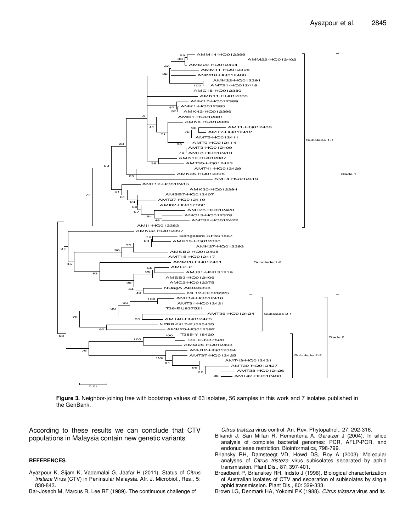

**Figure 3.** Neighbor-joining tree with bootstrap values of 63 isolates, 56 samples in this work and 7 isolates published in the GenBank.

According to these results we can conclude that CTV populations in Malaysia contain new genetic variants.

#### **REFERENCES**

- Ayazpour K, Sijam K, Vadamalai G, Jaafar H (2011). Status of Citrus tristeza Virus (CTV) in Peninsular Malaysia. Afr. J. Microbiol., Res., 5: 838-843.
- Bar-Joseph M, Marcus R, Lee RF (1989). The continuous challenge of

Citrus tristeza virus control. An. Rev. Phytopathol., 27: 292-316.

- Bikandi J, San Millan R, Rementeria A, Garaizer J (2004). In silico analysis of complete bacterial genomes: PCR, AFLP-PCR, and endonuclease restriction. Bioinformatics, 798-799.
- Brlansky RH, Damsteegt VD, Howd DS, Roy A (2003). Molecular analyses of Citrus tristeza virus subisolates separated by aphid transmission. Plant Dis., 87: 397-401.
- Broadbent P, Brlanskey RH, Indsto J (1996). Biological characterization of Australian isolates of CTV and separation of subisolates by single aphid transmission. Plant Dis., 80: 329-333.
- Brown LG, Denmark HA, Yokomi PK (1988). Citrus tristeza virus and its